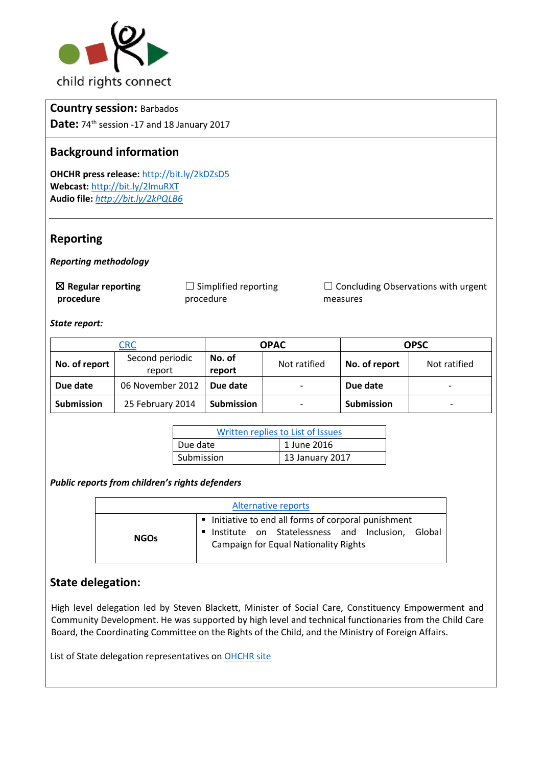

## **Country session:** Barbados

**Date:** 74<sup>th</sup> session -17 and 18 January 2017

# **Background information**

**OHCHR press release:** http://bit.ly/2kDZsD5 **Webcast:** http://bit.ly/2lmuRXT **Audio file:** *<http://bit.ly/2kPQLB6>*

## **Reporting**

*Reporting methodology* 

☒ **Regular reporting procedure**

 $\Box$  Simplified reporting procedure

 $\Box$  Concluding Observations with urgent measures

*State report:* 

| <b>CRC</b>        |                           | <b>OPAC</b>       |              | <b>OPSC</b>       |                          |
|-------------------|---------------------------|-------------------|--------------|-------------------|--------------------------|
| No. of report     | Second periodic<br>report | No. of<br>report  | Not ratified | No. of report     | Not ratified             |
| Due date          | 06 November 2012          | Due date          |              | Due date          | $\overline{\phantom{0}}$ |
| <b>Submission</b> | 25 February 2014          | <b>Submission</b> |              | <b>Submission</b> |                          |

| Written replies to List of Issues |                 |  |  |
|-----------------------------------|-----------------|--|--|
| Due date                          | 1 June 2016     |  |  |
| Submission                        | 13 January 2017 |  |  |

*Public reports from children's rights defenders* 

| Alternative reports |                                                                                                                                                        |  |  |  |  |  |
|---------------------|--------------------------------------------------------------------------------------------------------------------------------------------------------|--|--|--|--|--|
| <b>NGOs</b>         | Initiative to end all forms of corporal punishment<br>Institute on Statelessness and Inclusion, Global<br><b>Campaign for Equal Nationality Rights</b> |  |  |  |  |  |

# **State delegation:**

High level delegation led by Steven Blackett, Minister of Social Care, Constituency Empowerment and Community Development. He was supported by high level and technical functionaries from the Child Care Board, the Coordinating Committee on the Rights of the Child, and the Ministry of Foreign Affairs.

List of State delegation representatives o[n OHCHR site](http://bit.ly/2lmmr2T)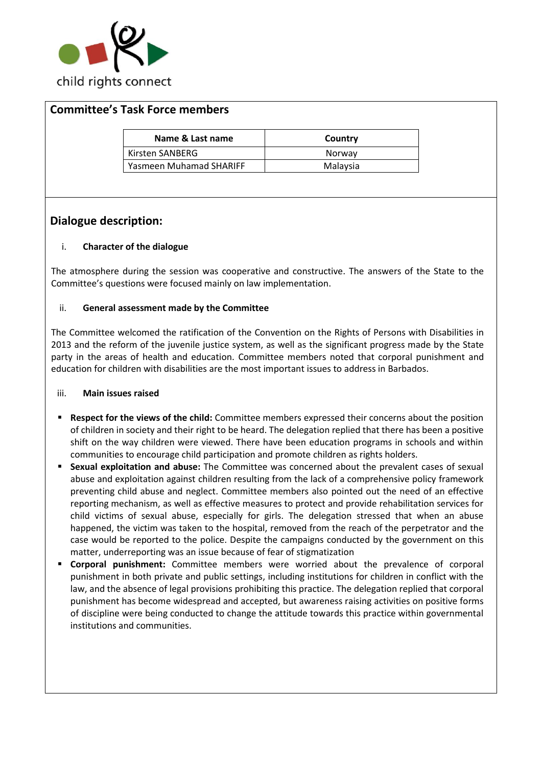

## **Committee's Task Force members**

| Name & Last name        | Country  |
|-------------------------|----------|
| Kirsten SANBERG         | Norway   |
| Yasmeen Muhamad SHARIFF | Malaysia |

# **Dialogue description:**

### i. **Character of the dialogue**

The atmosphere during the session was cooperative and constructive. The answers of the State to the Committee's questions were focused mainly on law implementation.

#### ii. **General assessment made by the Committee**

The Committee welcomed the ratification of the Convention on the Rights of Persons with Disabilities in 2013 and the reform of the juvenile justice system, as well as the significant progress made by the State party in the areas of health and education. Committee members noted that corporal punishment and education for children with disabilities are the most important issues to address in Barbados.

#### iii. **Main issues raised**

- **Respect for the views of the child:** Committee members expressed their concerns about the position of children in society and their right to be heard. The delegation replied that there has been a positive shift on the way children were viewed. There have been education programs in schools and within communities to encourage child participation and promote children as rights holders.
- **Sexual exploitation and abuse:** The Committee was concerned about the prevalent cases of sexual abuse and exploitation against children resulting from the lack of a comprehensive policy framework preventing child abuse and neglect. Committee members also pointed out the need of an effective reporting mechanism, as well as effective measures to protect and provide rehabilitation services for child victims of sexual abuse, especially for girls. The delegation stressed that when an abuse happened, the victim was taken to the hospital, removed from the reach of the perpetrator and the case would be reported to the police. Despite the campaigns conducted by the government on this matter, underreporting was an issue because of fear of stigmatization
- **Corporal punishment:** Committee members were worried about the prevalence of corporal punishment in both private and public settings, including institutions for children in conflict with the law, and the absence of legal provisions prohibiting this practice. The delegation replied that corporal punishment has become widespread and accepted, but awareness raising activities on positive forms of discipline were being conducted to change the attitude towards this practice within governmental institutions and communities.